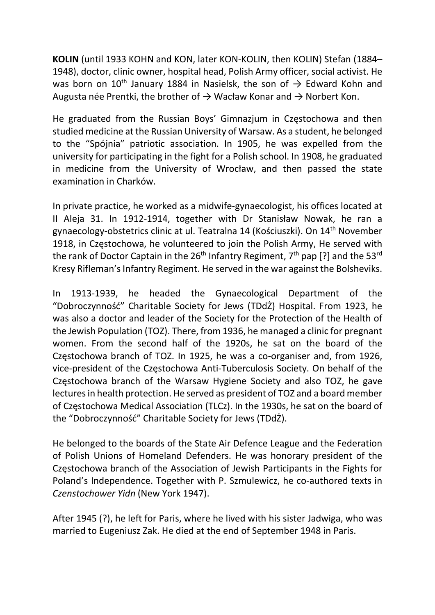KOLIN (until 1933 KOHN and KON, later KON-KOLIN, then KOLIN) Stefan (1884– 1948), doctor, clinic owner, hospital head, Polish Army officer, social activist. He was born on 10<sup>th</sup> January 1884 in Nasielsk, the son of  $\rightarrow$  Edward Kohn and Augusta née Prentki, the brother of  $\rightarrow$  Wacław Konar and  $\rightarrow$  Norbert Kon.

He graduated from the Russian Boys' Gimnazjum in Częstochowa and then studied medicine at the Russian University of Warsaw. As a student, he belonged to the "Spójnia" patriotic association. In 1905, he was expelled from the university for participating in the fight for a Polish school. In 1908, he graduated in medicine from the University of Wrocław, and then passed the state examination in Charków.

In private practice, he worked as a midwife-gynaecologist, his offices located at II Aleja 31. In 1912-1914, together with Dr Stanisław Nowak, he ran a gynaecology-obstetrics clinic at ul. Teatralna 14 (Kościuszki). On 14th November 1918, in Częstochowa, he volunteered to join the Polish Army, He served with the rank of Doctor Captain in the  $26<sup>th</sup>$  Infantry Regiment,  $7<sup>th</sup>$  pap [?] and the 53<sup>rd</sup> Kresy Rifleman's Infantry Regiment. He served in the war against the Bolsheviks.

In 1913-1939, he headed the Gynaecological Department of the "Dobroczynność" Charitable Society for Jews (TDdŻ) Hospital. From 1923, he was also a doctor and leader of the Society for the Protection of the Health of the Jewish Population (TOZ). There, from 1936, he managed a clinic for pregnant women. From the second half of the 1920s, he sat on the board of the Częstochowa branch of TOZ. In 1925, he was a co-organiser and, from 1926, vice-president of the Częstochowa Anti-Tuberculosis Society. On behalf of the Częstochowa branch of the Warsaw Hygiene Society and also TOZ, he gave lectures in health protection. He served as president of TOZ and a board member of Częstochowa Medical Association (TLCz). In the 1930s, he sat on the board of the "Dobroczynność" Charitable Society for Jews (TDdŻ).

He belonged to the boards of the State Air Defence League and the Federation of Polish Unions of Homeland Defenders. He was honorary president of the Częstochowa branch of the Association of Jewish Participants in the Fights for Poland's Independence. Together with P. Szmulewicz, he co-authored texts in Czenstochower Yidn (New York 1947).

After 1945 (?), he left for Paris, where he lived with his sister Jadwiga, who was married to Eugeniusz Zak. He died at the end of September 1948 in Paris.